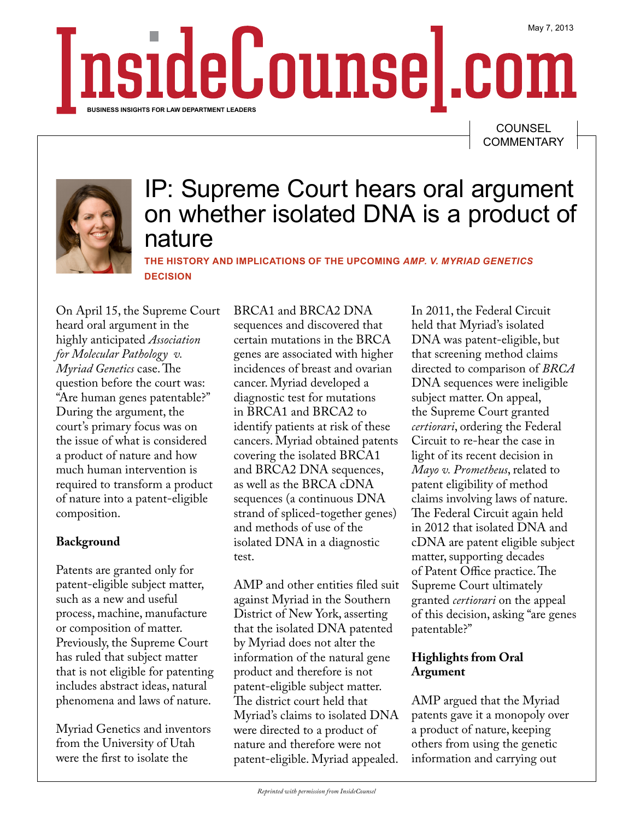May 7, 2013 **DESIDE L'OUNSE COM** 

> **COUNSEL COMMENTARY**



## IP: Supreme Court hears oral argument on whether isolated DNA is a product of nature

**THE HISTORY AND IMPLICATIONS OF THE UPCOMING** *AMP. V. MYRIAD GENETICS* **DECISION**

On April 15, the Supreme Court heard oral argument in the highly anticipated *Association for Molecular Pathology v. Myriad Genetics* case. The question before the court was: "Are human genes patentable?" During the argument, the court's primary focus was on the issue of what is considered a product of nature and how much human intervention is required to transform a product of nature into a patent-eligible composition.

### **Background**

Patents are granted only for patent-eligible subject matter, such as a new and useful process, machine, manufacture or composition of matter. Previously, the Supreme Court has ruled that subject matter that is not eligible for patenting includes abstract ideas, natural phenomena and laws of nature.

Myriad Genetics and inventors from the University of Utah were the first to isolate the

BRCA1 and BRCA2 DNA sequences and discovered that certain mutations in the BRCA genes are associated with higher incidences of breast and ovarian cancer. Myriad developed a diagnostic test for mutations in BRCA1 and BRCA2 to identify patients at risk of these cancers. Myriad obtained patents covering the isolated BRCA1 and BRCA2 DNA sequences, as well as the BRCA cDNA sequences (a continuous DNA strand of spliced-together genes) and methods of use of the isolated DNA in a diagnostic test.

AMP and other entities filed suit against Myriad in the Southern District of New York, asserting that the isolated DNA patented by Myriad does not alter the information of the natural gene product and therefore is not patent-eligible subject matter. The district court held that Myriad's claims to isolated DNA were directed to a product of nature and therefore were not patent-eligible. Myriad appealed.

In 2011, the Federal Circuit held that Myriad's isolated DNA was patent-eligible, but that screening method claims directed to comparison of *BRCA* DNA sequences were ineligible subject matter. On appeal, the Supreme Court granted *certiorari*, ordering the Federal Circuit to re-hear the case in light of its recent decision in *Mayo v. Prometheus*, related to patent eligibility of method claims involving laws of nature. The Federal Circuit again held in 2012 that isolated DNA and cDNA are patent eligible subject matter, supporting decades of Patent Office practice. The Supreme Court ultimately granted *certiorari* on the appeal of this decision, asking "are genes patentable?"

### **Highlights from Oral Argument**

AMP argued that the Myriad patents gave it a monopoly over a product of nature, keeping others from using the genetic information and carrying out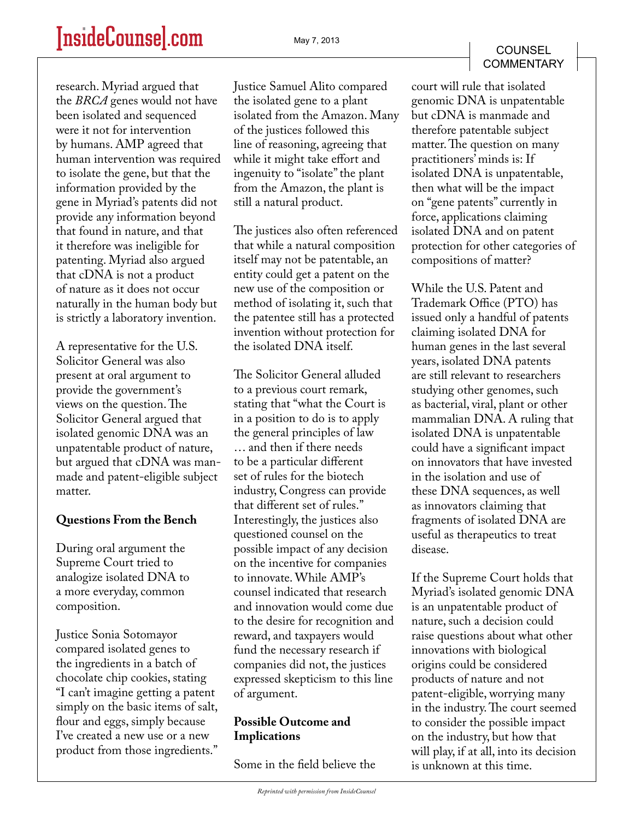# **InsideCounsel.com**

research. Myriad argued that the *BRCA* genes would not have been isolated and sequenced were it not for intervention by humans. AMP agreed that human intervention was required to isolate the gene, but that the information provided by the gene in Myriad's patents did not provide any information beyond that found in nature, and that it therefore was ineligible for patenting. Myriad also argued that cDNA is not a product of nature as it does not occur naturally in the human body but is strictly a laboratory invention.

A representative for the U.S. Solicitor General was also present at oral argument to provide the government's views on the question. The Solicitor General argued that isolated genomic DNA was an unpatentable product of nature, but argued that cDNA was manmade and patent-eligible subject matter.

#### **Questions From the Bench**

During oral argument the Supreme Court tried to analogize isolated DNA to a more everyday, common composition.

Justice Sonia Sotomayor compared isolated genes to the ingredients in a batch of chocolate chip cookies, stating "I can't imagine getting a patent simply on the basic items of salt, flour and eggs, simply because I've created a new use or a new product from those ingredients."

Justice Samuel Alito compared the isolated gene to a plant isolated from the Amazon. Many of the justices followed this line of reasoning, agreeing that while it might take effort and ingenuity to "isolate" the plant from the Amazon, the plant is still a natural product.

The justices also often referenced that while a natural composition itself may not be patentable, an entity could get a patent on the new use of the composition or method of isolating it, such that the patentee still has a protected invention without protection for the isolated DNA itself.

The Solicitor General alluded to a previous court remark, stating that "what the Court is in a position to do is to apply the general principles of law … and then if there needs to be a particular different set of rules for the biotech industry, Congress can provide that different set of rules." Interestingly, the justices also questioned counsel on the possible impact of any decision on the incentive for companies to innovate. While AMP's counsel indicated that research and innovation would come due to the desire for recognition and reward, and taxpayers would fund the necessary research if companies did not, the justices expressed skepticism to this line of argument.

#### **Possible Outcome and Implications**

Some in the field believe the

#### **COUNSEL COMMENTARY**

court will rule that isolated genomic DNA is unpatentable but cDNA is manmade and therefore patentable subject matter. The question on many practitioners' minds is: If isolated DNA is unpatentable, then what will be the impact on "gene patents" currently in force, applications claiming isolated DNA and on patent protection for other categories of compositions of matter?

While the U.S. Patent and Trademark Office (PTO) has issued only a handful of patents claiming isolated DNA for human genes in the last several years, isolated DNA patents are still relevant to researchers studying other genomes, such as bacterial, viral, plant or other mammalian DNA. A ruling that isolated DNA is unpatentable could have a significant impact on innovators that have invested in the isolation and use of these DNA sequences, as well as innovators claiming that fragments of isolated DNA are useful as therapeutics to treat disease.

If the Supreme Court holds that Myriad's isolated genomic DNA is an unpatentable product of nature, such a decision could raise questions about what other innovations with biological origins could be considered products of nature and not patent-eligible, worrying many in the industry. The court seemed to consider the possible impact on the industry, but how that will play, if at all, into its decision is unknown at this time.